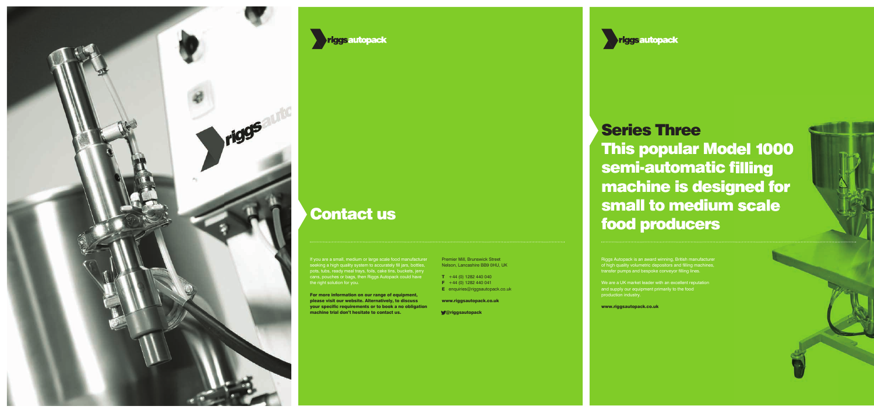# Series Three This popular Model 1000 semi-automatic filling machine is designed for small to medium scale food producers

Riggs Autopack is an award winning, British manufacturer of high quality volumetric depositors and filling machines, transfer pumps and bespoke conveyor filling lines.

We are a UK market leader with an excellent reputation and supply our equipment primarily to the food production industry.

If you are a small, medium or large scale food manufacturer seeking a high quality system to accurately fill jars, bottles, pots, tubs, ready meal trays, foils, cake tins, buckets, jerry cans, pouches or bags, then Riggs Autopack could have the right solution for you.

www.riggsautopack.co.uk





### Contact us

For more information on our range of equipment, please visit our website. Alternatively, to discuss your specific requirements or to book a no obligation machine trial don't hesitate to contact us.

- $T + 44 (0) 1282 440 040$
- $\overline{F}$  +44 (0) 1282 440 041
- **E** enquiries@riggsautopack.co.uk

www.riggsautopack.co.uk

@riggsautopack